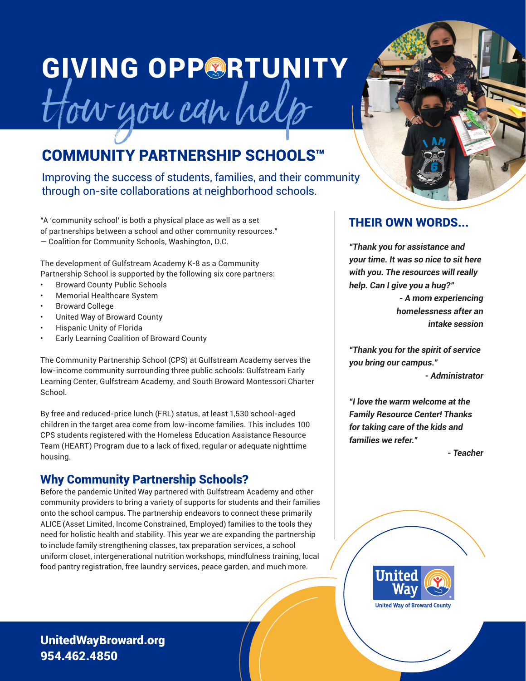# **GIVING OPPORTUNITY** How you can help

# COMMUNITY PARTNERSHIP SCHOOLS™

Improving the success of students, families, and their community through on-site collaborations at neighborhood schools.

"A 'community school' is both a physical place as well as a set of partnerships between a school and other community resources." — Coalition for Community Schools, Washington, D.C.

The development of Gulfstream Academy K-8 as a Community Partnership School is supported by the following six core partners:

- Broward County Public Schools
- Memorial Healthcare System
- Broward College
- United Way of Broward County
- Hispanic Unity of Florida
- Early Learning Coalition of Broward County

The Community Partnership School (CPS) at Gulfstream Academy serves the low-income community surrounding three public schools: Gulfstream Early Learning Center, Gulfstream Academy, and South Broward Montessori Charter School.

By free and reduced-price lunch (FRL) status, at least 1,530 school-aged children in the target area come from low-income families. This includes 100 CPS students registered with the Homeless Education Assistance Resource Team (HEART) Program due to a lack of fixed, regular or adequate nighttime housing.

### Why Community Partnership Schools?

Before the pandemic United Way partnered with Gulfstream Academy and other community providers to bring a variety of supports for students and their families onto the school campus. The partnership endeavors to connect these primarily ALICE (Asset Limited, Income Constrained, Employed) families to the tools they need for holistic health and stability. This year we are expanding the partnership to include family strengthening classes, tax preparation services, a school uniform closet, intergenerational nutrition workshops, mindfulness training, local food pantry registration, free laundry services, peace garden, and much more.



#### THEIR OWN WORDS...

**"Thank you for assistance and your time. It was so nice to sit here with you. The resources will really help. Can I give you a hug?"** 

> **- A mom experiencing homelessness after an intake session**

**"Thank you for the spirit of service you bring our campus."** 

**- Administrator**

**"I love the warm welcome at the Family Resource Center! Thanks for taking care of the kids and families we refer."**

**- Teacher**



UnitedWayBroward.org 954.462.4850